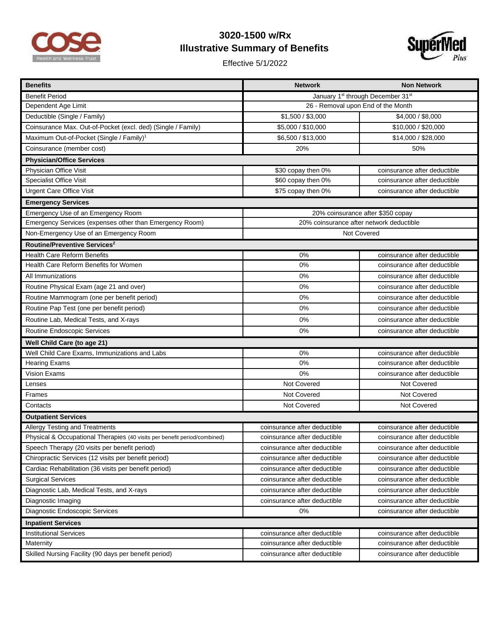

## **3020-1500 w/Rx Illustrative Summary of Benefits**

Effective 5/1/2022



| <b>Benefits</b>                                                           | <b>Network</b>                                | <b>Non Network</b>           |  |
|---------------------------------------------------------------------------|-----------------------------------------------|------------------------------|--|
| <b>Benefit Period</b>                                                     | January 1 <sup>st</sup> through December 31st |                              |  |
| Dependent Age Limit                                                       | 26 - Removal upon End of the Month            |                              |  |
| Deductible (Single / Family)                                              | \$1,500 / \$3,000                             | \$4,000 / \$8,000            |  |
| Coinsurance Max. Out-of-Pocket (excl. ded) (Single / Family)              | \$5,000 / \$10,000                            | \$10,000 / \$20,000          |  |
| Maximum Out-of-Pocket (Single / Family) <sup>1</sup>                      | \$6,500 / \$13,000                            | \$14,000 / \$28,000          |  |
| Coinsurance (member cost)                                                 | 20%                                           | 50%                          |  |
| <b>Physician/Office Services</b>                                          |                                               |                              |  |
| Physician Office Visit                                                    | \$30 copay then 0%                            | coinsurance after deductible |  |
| <b>Specialist Office Visit</b>                                            | \$60 copay then 0%                            | coinsurance after deductible |  |
| <b>Urgent Care Office Visit</b>                                           | \$75 copay then 0%                            | coinsurance after deductible |  |
| <b>Emergency Services</b>                                                 |                                               |                              |  |
| Emergency Use of an Emergency Room                                        | 20% coinsurance after \$350 copay             |                              |  |
| Emergency Services (expenses other than Emergency Room)                   | 20% coinsurance after network deductible      |                              |  |
| Non-Emergency Use of an Emergency Room                                    | Not Covered                                   |                              |  |
| Routine/Preventive Services <sup>2</sup>                                  |                                               |                              |  |
| <b>Health Care Reform Benefits</b>                                        | 0%                                            | coinsurance after deductible |  |
| Health Care Reform Benefits for Women                                     | 0%                                            | coinsurance after deductible |  |
| All Immunizations                                                         | 0%                                            | coinsurance after deductible |  |
| Routine Physical Exam (age 21 and over)                                   | 0%                                            | coinsurance after deductible |  |
| Routine Mammogram (one per benefit period)                                | 0%                                            | coinsurance after deductible |  |
| Routine Pap Test (one per benefit period)                                 | 0%                                            | coinsurance after deductible |  |
| Routine Lab, Medical Tests, and X-rays                                    | 0%                                            | coinsurance after deductible |  |
| Routine Endoscopic Services                                               | 0%                                            | coinsurance after deductible |  |
| Well Child Care (to age 21)                                               |                                               |                              |  |
| Well Child Care Exams, Immunizations and Labs                             | 0%                                            | coinsurance after deductible |  |
| <b>Hearing Exams</b>                                                      | 0%                                            | coinsurance after deductible |  |
| Vision Exams                                                              | 0%                                            | coinsurance after deductible |  |
| Lenses                                                                    | Not Covered                                   | Not Covered                  |  |
| Frames                                                                    | Not Covered                                   | <b>Not Covered</b>           |  |
| Contacts                                                                  | Not Covered                                   | Not Covered                  |  |
| <b>Outpatient Services</b>                                                |                                               |                              |  |
| Allergy Testing and Treatments                                            | coinsurance after deductible                  | coinsurance after deductible |  |
| Physical & Occupational Therapies (40 visits per benefit period/combined) | coinsurance after deductible                  | coinsurance after deductible |  |
| Speech Therapy (20 visits per benefit period)                             | coinsurance after deductible                  | coinsurance after deductible |  |
| Chiropractic Services (12 visits per benefit period)                      | coinsurance after deductible                  | coinsurance after deductible |  |
| Cardiac Rehabilitation (36 visits per benefit period)                     | coinsurance after deductible                  | coinsurance after deductible |  |
| <b>Surgical Services</b>                                                  | coinsurance after deductible                  | coinsurance after deductible |  |
| Diagnostic Lab, Medical Tests, and X-rays                                 | coinsurance after deductible                  | coinsurance after deductible |  |
| Diagnostic Imaging                                                        | coinsurance after deductible                  | coinsurance after deductible |  |
| Diagnostic Endoscopic Services                                            | 0%                                            | coinsurance after deductible |  |
| <b>Inpatient Services</b>                                                 |                                               |                              |  |
| <b>Institutional Services</b>                                             | coinsurance after deductible                  | coinsurance after deductible |  |
| Maternity                                                                 | coinsurance after deductible                  | coinsurance after deductible |  |
| Skilled Nursing Facility (90 days per benefit period)                     | coinsurance after deductible                  | coinsurance after deductible |  |